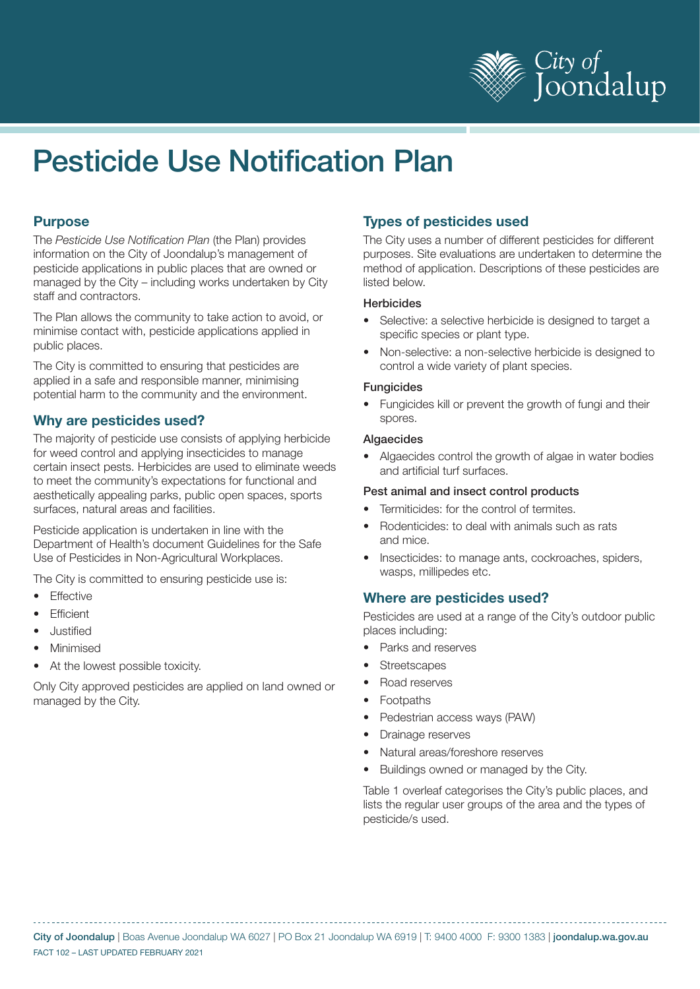

# Pesticide Use Notification Plan

## **Purpose**

The *Pesticide Use Notification Plan* (the Plan) provides information on the City of Joondalup's management of pesticide applications in public places that are owned or managed by the City – including works undertaken by City staff and contractors.

The Plan allows the community to take action to avoid, or minimise contact with, pesticide applications applied in public places.

The City is committed to ensuring that pesticides are applied in a safe and responsible manner, minimising potential harm to the community and the environment.

## **Why are pesticides used?**

The majority of pesticide use consists of applying herbicide for weed control and applying insecticides to manage certain insect pests. Herbicides are used to eliminate weeds to meet the community's expectations for functional and aesthetically appealing parks, public open spaces, sports surfaces, natural areas and facilities.

Pesticide application is undertaken in line with the Department of Health's document Guidelines for the Safe Use of Pesticides in Non-Agricultural Workplaces.

The City is committed to ensuring pesticide use is:

- **Effective**
- **Efficient**
- Justified
- **Minimised**
- At the lowest possible toxicity.

Only City approved pesticides are applied on land owned or managed by the City.

## **Types of pesticides used**

The City uses a number of different pesticides for different purposes. Site evaluations are undertaken to determine the method of application. Descriptions of these pesticides are listed below.

#### **Herbicides**

- Selective: a selective herbicide is designed to target a specific species or plant type.
- Non-selective: a non-selective herbicide is designed to control a wide variety of plant species.

#### **Fungicides**

• Fungicides kill or prevent the growth of fungi and their spores.

#### **Algaecides**

• Algaecides control the growth of algae in water bodies and artificial turf surfaces.

#### Pest animal and insect control products

- Termiticides: for the control of termites.
- Rodenticides: to deal with animals such as rats and mice.
- Insecticides: to manage ants, cockroaches, spiders, wasps, millipedes etc.

## **Where are pesticides used?**

Pesticides are used at a range of the City's outdoor public places including:

- Parks and reserves
- **Streetscapes**
- Road reserves
- **Footpaths**
- Pedestrian access ways (PAW)
- Drainage reserves
- Natural areas/foreshore reserves
- Buildings owned or managed by the City.

Table 1 overleaf categorises the City's public places, and lists the regular user groups of the area and the types of pesticide/s used.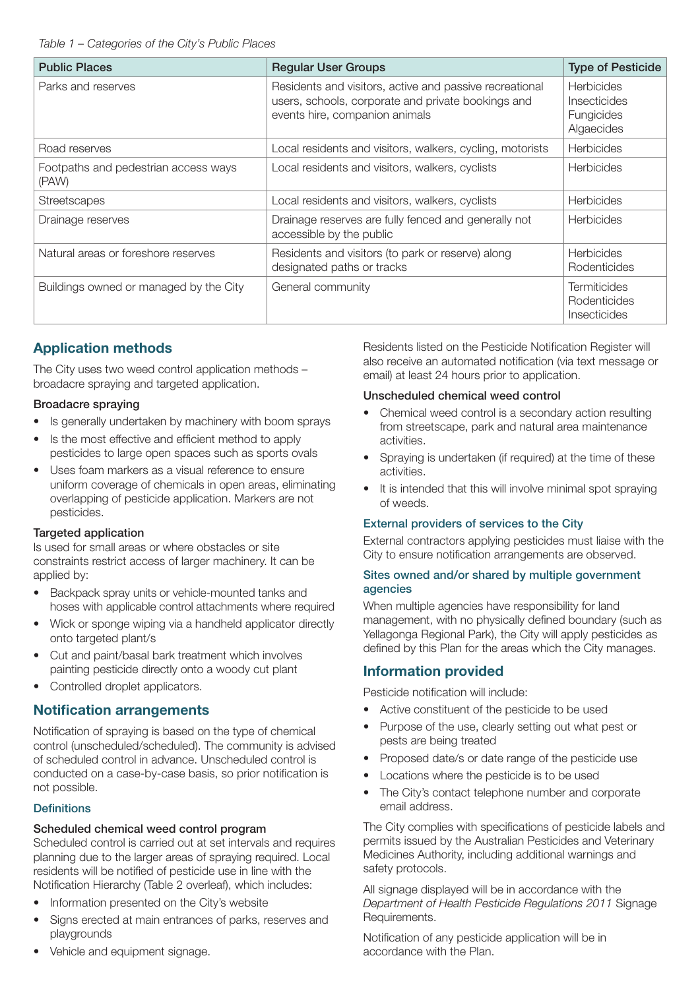| <b>Public Places</b>                          | <b>Regular User Groups</b>                                                                                                                      | <b>Type of Pesticide</b>                                      |
|-----------------------------------------------|-------------------------------------------------------------------------------------------------------------------------------------------------|---------------------------------------------------------------|
| Parks and reserves                            | Residents and visitors, active and passive recreational<br>users, schools, corporate and private bookings and<br>events hire, companion animals | <b>Herbicides</b><br>Insecticides<br>Fungicides<br>Algaecides |
| Road reserves                                 | Local residents and visitors, walkers, cycling, motorists                                                                                       | Herbicides                                                    |
| Footpaths and pedestrian access ways<br>(PAW) | Local residents and visitors, walkers, cyclists                                                                                                 | <b>Herbicides</b>                                             |
| <b>Streetscapes</b>                           | Local residents and visitors, walkers, cyclists                                                                                                 | <b>Herbicides</b>                                             |
| Drainage reserves                             | Drainage reserves are fully fenced and generally not<br>accessible by the public                                                                | <b>Herbicides</b>                                             |
| Natural areas or foreshore reserves           | Residents and visitors (to park or reserve) along<br>designated paths or tracks                                                                 | <b>Herbicides</b><br>Rodenticides                             |
| Buildings owned or managed by the City        | General community                                                                                                                               | <b>Termiticides</b><br>Rodenticides<br>Insecticides           |

# **Application methods**

The City uses two weed control application methods – broadacre spraying and targeted application.

## Broadacre spraying

- Is generally undertaken by machinery with boom sprays
- Is the most effective and efficient method to apply pesticides to large open spaces such as sports ovals
- Uses foam markers as a visual reference to ensure uniform coverage of chemicals in open areas, eliminating overlapping of pesticide application. Markers are not pesticides.

## Targeted application

Is used for small areas or where obstacles or site constraints restrict access of larger machinery. It can be applied by:

- Backpack spray units or vehicle-mounted tanks and hoses with applicable control attachments where required
- Wick or sponge wiping via a handheld applicator directly onto targeted plant/s
- Cut and paint/basal bark treatment which involves painting pesticide directly onto a woody cut plant
- Controlled droplet applicators.

# **Notification arrangements**

Notification of spraying is based on the type of chemical control (unscheduled/scheduled). The community is advised of scheduled control in advance. Unscheduled control is conducted on a case-by-case basis, so prior notification is not possible.

## **Definitions**

## Scheduled chemical weed control program

Scheduled control is carried out at set intervals and requires planning due to the larger areas of spraying required. Local residents will be notified of pesticide use in line with the Notification Hierarchy (Table 2 overleaf), which includes:

- Information presented on the City's website
- Signs erected at main entrances of parks, reserves and playgrounds
- Vehicle and equipment signage.

Residents listed on the Pesticide Notification Register will also receive an automated notification (via text message or email) at least 24 hours prior to application.

## Unscheduled chemical weed control

- Chemical weed control is a secondary action resulting from streetscape, park and natural area maintenance activities.
- Spraying is undertaken (if required) at the time of these activities.
- It is intended that this will involve minimal spot spraying of weeds.

## External providers of services to the City

External contractors applying pesticides must liaise with the City to ensure notification arrangements are observed.

#### Sites owned and/or shared by multiple government agencies

When multiple agencies have responsibility for land management, with no physically defined boundary (such as Yellagonga Regional Park), the City will apply pesticides as defined by this Plan for the areas which the City manages.

# **Information provided**

Pesticide notification will include:

- Active constituent of the pesticide to be used
- Purpose of the use, clearly setting out what pest or pests are being treated
- Proposed date/s or date range of the pesticide use
- Locations where the pesticide is to be used
- The City's contact telephone number and corporate email address.

The City complies with specifications of pesticide labels and permits issued by the Australian Pesticides and Veterinary Medicines Authority, including additional warnings and safety protocols.

All signage displayed will be in accordance with the *Department of Health Pesticide Regulations 2011* Signage Requirements.

Notification of any pesticide application will be in accordance with the Plan.